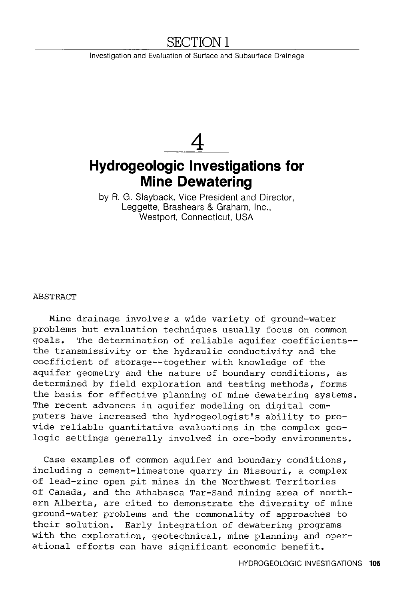# **SECTION** 1

Investigation and Evaluation of Surface and Subsurface Drainage

# **4 Hydrogeologic Investigations for Mine Dewatering**

by R. G. Slayback, Vice President and Director, Leggette, Brashears & Graham, Inc., Westport, Connecticut, USA

#### ABSTRACT

Mine drainage involves a wide variety of ground-water problems but evaluation techniques usually focus on common goals. The determination of reliable aquifer coefficients- the transmissivity or the hydraulic conductivity and the coefficient of storage--together with knowledge of the aquifer geometry and the nature of boundary conditions, as determined by field exploration and testing methods, forms the basis for effective planning of mine dewatering systems. The recent advances in aquifer modeling on digital computers have increased the hydrogeologist's ability to provide reliable quantitative evaluations in the complex geologic settings generally involved in ore-body environments.

Case examples of common aquifer and boundary conditions, including a cement-limestone quarry in Missouri, a complex of lead-zinc open pit mines in the Northwest Territories of Canada, and the Athabasca Tar-Sand mining area of northern Alberta, are cited to demonstrate the diversity of mine ground-water problems and the commonality of approaches to their solution. Early integration of dewatering programs with the exploration, geotechnical, mine planning and operational efforts can have significant economic benefit.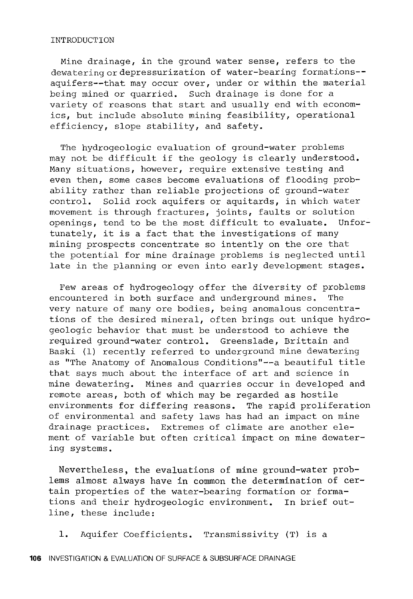#### INTRODUCTION

Mine drainage, in the ground water sense, refers to the dewatering or depressurization of water-bearing formations-aquifers--that may occur over, under or within the material being mined or quarried. Such drainage is done for a variety of reasons that start and usually end with economics, but include absolute mining feasibility, operational efficiency, slope stability, and safety.

The hydrogeologic evaluation of ground-water problems may not be difficult if the geology is clearly understood. Many situations, however, require extensive testing and even then, some cases become evaluations of flooding probability rather than reliable projections of ground-water control. Solid rock aquifers or aquitards, in which water movement is through fractures, joints, faults or solution<br>openings, tend to be the most difficult to evaluate. Unforopenings, tend to be the most difficult to evaluate. tunately, it is a fact that the investigations of many mining prospects concentrate so intently on the ore that the potential for mine drainage problems is neglected until late in the planning or even into early development stages.

Few areas of hydrogeology offer the diversity of problems encountered in both surface and underground mines. The very nature of many ore bodies, being anomalous concentrations of the desired mineral, often brings out unique hydrogeologic behavior that must be understood to achieve the required ground-water control. Greenslade, Brittain and Baski (1) recently referred to underground mine dewatering as "The Anatomy of Anomalous Conditions"--a beautiful title that says much about the interface of art and science in mine dewatering. Mines and quarries occur in developed and remote areas, both of which may be regarded as hostile environments for differing reasons. The rapid proliferation of environmental and safety laws has had an impact on mine drainage practices. Extremes of climate are another element of variable but often critical impact on mine dewatering systems.

Nevertheless, the evaluations of mine ground-water problems almost always have in common the determination of certain properties of the water-bearing formation or formations and their hydrogeologic environment. In brief outline, these include:

1. Aquifer Coefficients. Transmissivity (T) is a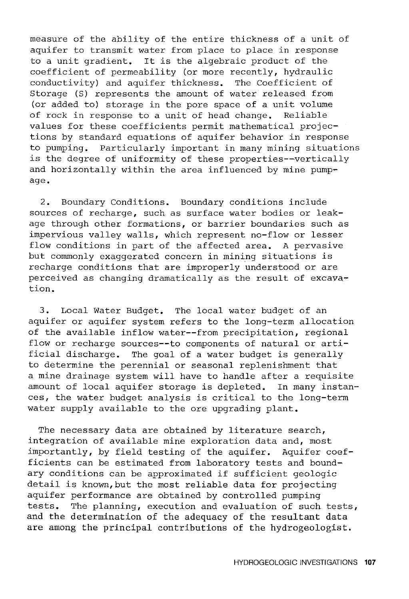measure of the ability of the entire thickness of a unit of aquifer to transmit water from place to place in response to a unit gradient. It is the algebraic product of the coefficient of permeability (or more recently, hydraulic conductivity) and aquifer thickness. The Coefficient of Storage (S) represents the amount of water released from (or added to) storage in the pore space of a unit volume of rock in response to a unit of head change. Reliable values for these coefficients permit mathematical projections by standard equations of aquifer behavior in response to pumping. Particularly important in many mining situations is the degree of uniformity of these properties--vertically and horizontally within the area influenced by mine pumpage.

2. Boundary Conditions. Boundary conditions include sources of recharge, such as surface water bodies or leakage through other formations, or barrier boundaries such as impervious valley walls, which represent no-flow or lesser flow conditions in part of the affected area. A pervasive but commonly exaggerated concern in mining situations is recharge conditions that are improperly understood or are perceived as changing dramatically as the result of excavation.

3. Local Water Budget. The local water budget of an aquifer or aquifer system refers to the long-term allocation of the available inflow water--from precipitation, regional flow or recharge sources--to components of natural or artificial discharge. The goal of a water budget is generally to determine the perennial or seasonal replenishment that a mine drainage system will have to handle after a requisite amount of local aquifer storage is depleted. In many instances, the water budget analysis is critical to the long-term water supply available to the ore upgrading plant.

The necessary data are obtained by literature search, integration of available mine exploration data and, most importantly, by field testing of the aquifer. Aquifer coefficients can be estimated from laboratory tests and boundary conditions can be approximated if sufficient geologic detail is known,but the most reliable data for projecting aquifer performance are obtained by controlled pumping tests. The planning, execution and evaluation of such tests, and the determination of the adequacy of the resultant data are among the principal contributions of the hydrogeologist.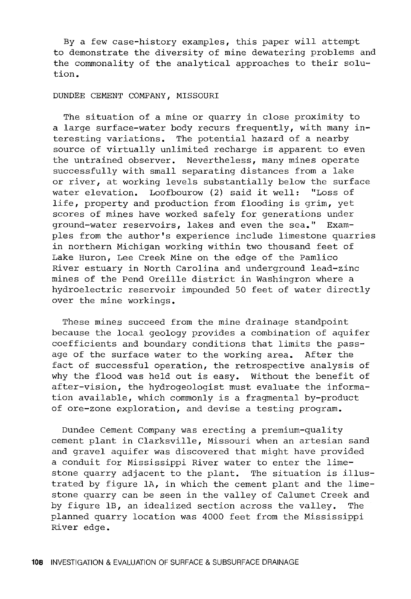By a few case-history examples, this paper will attempt to demonstrate the diversity of mine dewatering problems and the commonality of the analytical approaches to their solution.

#### DUNDEE CEMENT COMPANY, MISSOURI

The situation of a mine or quarry in close proximity to a large surface-water body recurs frequently, with many interesting variations. The potential hazard of a nearby source of virtually unlimited recharge is apparent to even the untrained observer. Nevertheless, many mines operate successfully with small separating distances from a lake or river, at working levels substantially below the surface water elevation. Loofbourow (2) said it well: "Loss of life, property and production from flooding is grim, yet scores of mines have worked safely for generations under ground-water reservoirs, lakes and even the sea." Examples from the author's experience include limestone quarries in northern Michigan working within two thousand feet of Lake Huron, Lee Creek Mine on the edge of the Pamlico River estuary in North Carolina and underground lead-zinc mines of the Pend Oreille district in Washingron where a hydroelectric reservoir impounded 50 feet of water directly over the mine workings.

These mines succeed from the mine drainage standpoint because the local geology provides a combination of aquifer coefficients and boundary conditions that limits the passage of the surface water to the working area. After the fact of successful operation, the retrospective analysis of why the flood was held out is easy. Without the benefit of after-vision, the hydrogeologist must evaluate the information available, which commonly is a fragmental by-product of ore-zone exploration, and devise a testing program.

Dundee Cement Company was erecting a premium-quality cement plant in Clarksville, Missouri when an artesian sand and gravel aquifer was discovered that might have provided a conduit for Mississippi River water to enter the limestone quarry adjacent to the plant. The situation is illustrated by figure lA, in which the cement plant and the limestone quarry can be seen in the valley of Calumet Creek and by figure lB, an idealized section across the valley. The planned quarry location was 4000 feet from the Mississippi River edge.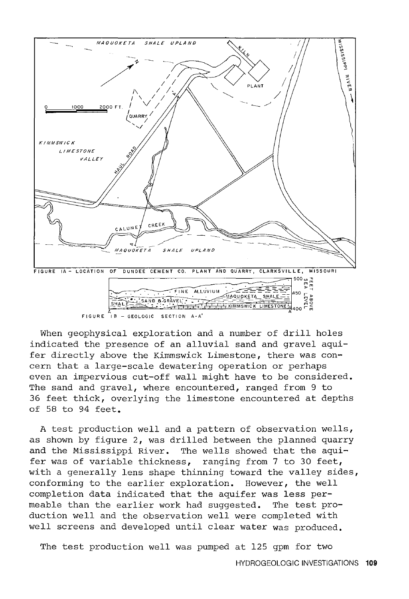

FIGURE  $\overline{1}B - \overline{5}E$  Section A-A'

When geophysical exploration and a number of drill holes indicated the presence of an alluvial sand and gravel aquifer directly above the Kimmswick Limestone, there was concern that a large-scale dewatering operation or perhaps even an impervious cut-off wall might have to be considered. The sand and gravel, where encountered, ranged from 9 to 36 feet thick, overlying the limestone encountered at depths of 58 to 94 feet.

A test production well and a pattern of observation wells, as shown by figure 2, was drilled between the planned quarry and the Mississippi River. The wells showed that the aquifer was of variable thickness, ranging from 7 to 30 feet, with a generally lens shape thinning toward the valley sides, conforming to the earlier exploration. However, the well completion data indicated that the aquifer was less permeable than the earlier work had suggested. The test production well and the observation well were completed with well screens and developed until clear water was produced.

The test production well was pumped at 125 gpm for two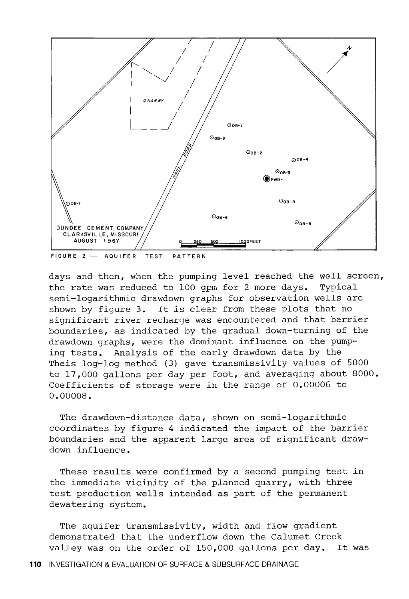

days and then, when the pumping level reached the well screen, the rate was reduced to 100 gpm for 2 more days. Typical semi-logarithmic drawdown graphs for observation wells are shown by figure 3. It is clear from these plots that no significant river recharge was encountered and that barrier boundaries, as indicated by the gradual down-turning of the drawdown graphs, were the dominant influence on the pumping tests. Analysis of the early drawdown data by the Theis log-log method (3) gave transmissivity values of 5000 to 17,000 gallons per day per foot, and averaging about 8000. Coefficients of storage were in the range of 0.00006 to o.oooos.

The drawdown-distance data, shown on semi-logarithmic coordinates by figure 4 indicated the impact of the barrier boundaries and the apparent large area of significant drawdown influence.

These results were confirmed by a second pumping test in the immediate vicinity of the planned quarry, with three test production wells intended as part of the permanent dewatering system.

The aquifer transmissivity, width and flow gradient demonstrated that the underflow down the Calumet Creek valley was on the order of 150,000 gallons per day. It was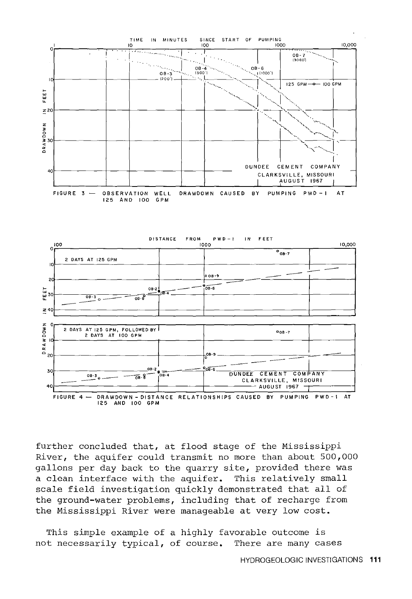

further concluded that, at flood stage of the Mississippi River, the aquifer could transmit no more than about 500,000 gallons per day back to the quarry site, provided there was a clean interface with the aquifer. This relatively small scale field investigation quickly demonstrated that all of the ground-water problems, including that of recharge from the Mississippi River were manageable at very low cost.

This simple example of a highly favorable outcome is not necessarily typical, of course. There are many cases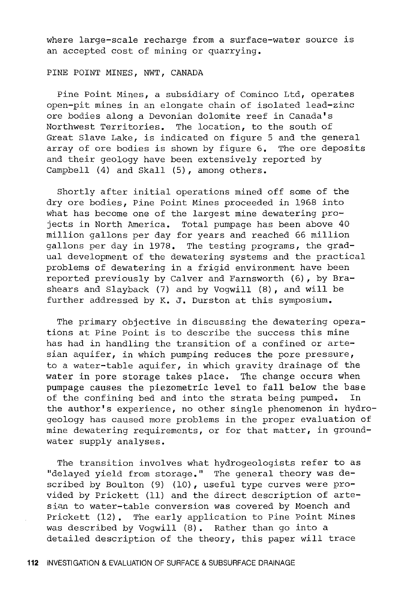where large-scale recharge from a surface-water source is an accepted cost of mining or quarrying.

## PINE POINT MINES, NWT, CANADA

Pine Point Mines, a subsidiary of Cominco Ltd, operates open-pit mines in an elongate chain of isolated lead-zinc ore bodies along a Devonian dolomite reef in Canada's Northwest Territories. The location, to the south of Great Slave Lake, is indicated on figure 5 and the general array of ore bodies is shown by figure 6. The ore deposits and their geology have been extensively reported by Campbell (4) and Skall (5), among others.

Shortly after initial operations mined off some of the dry ore bodies, Pine Point Mines proceeded in 1968 into what has become one of the largest mine dewatering projects in North America. Total pumpage has been above 40 million gallons per day for years and reached 66 million gallons per day in 1978. The testing programs, the gradual development of the dewatering systems and the practical problems of dewatering in a frigid environment have been reported previously by Calver and Farnsworth (6), by Brashears and Slayback (7) and by Vogwill (8), and will be further addressed by K. J. Durston at this symposium.

The primary objective in discussing the dewatering operations at Pine Point is to describe the success this mine has had in handling the transition of a confined or artesian aquifer, in which pumping reduces the pore pressure, to a water-table aquifer, in which gravity drainage of the water in pore storage takes place. The change occurs when pumpage causes the piezometric level to fall below the base of the confining bed and into the strata being pumped. the author's experience, no other single phenomenon in hydrogeology has caused more problems in the proper evaluation of mine dewatering requirements, or for that matter, in groundwater supply analyses.

The transition involves what hydrogeologists refer to as "delayed yield from storage." The general theory was described by Boulton (9) (10), useful type curves were provided by Prickett (11) and the direct description of artesian to water-table conversion was covered by Moench and Prickett (12) • The early application to Pine Point Mines was described by Vogwill (8). Rather than go into a detailed description of the theory, this paper will trace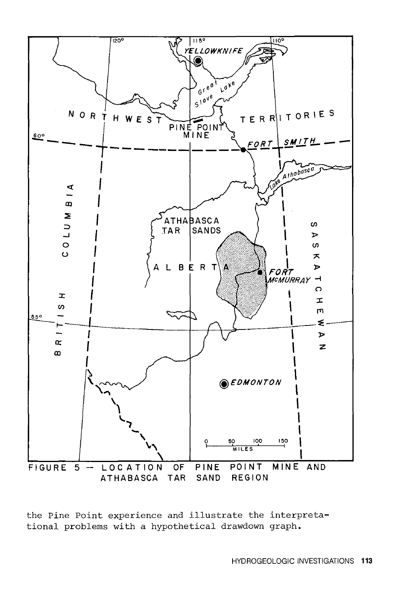

the Pine Point experience and illustrate the interpretational problems with a hypothetical drawdown graph.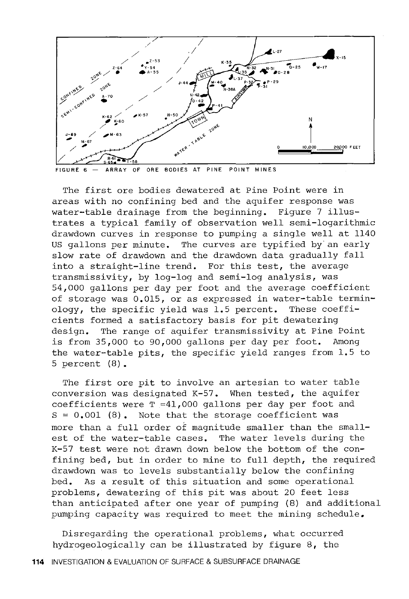

ARRAY OF ORE BODIES AT PINE POINT MINES

The first ore bodies dewatered at Pine Point were in areas with no confining bed and the aquifer response was water-table drainage from the beginning. Figure 7 illustrates a typical family of observation well semi-logarithmic drawdown curves in response to pumping a single well at 1140 US gallons per minute. The curves are typified by an early slow rate of drawdown and the drawdown data gradually fall into a straight-line trend. For this test, the average transmissivity, by log-log and semi-log analysis, was 54,000 gallons per day per foot and the average coefficient of storage was 0.015, or as expressed in water-table terminology, the specific yield was 1.5 percent. These coefficients formed a satisfactory basis for pit dewatering design. The range of aquifer transmissivity at Pine Point is from 35,000 to 90,000 gallons per day per foot. Among the water-table pits, the specific yield ranges from 1.5 to 5 percent (8) •

The first ore pit to involve an artesian to water table conversion was designated K-57. When tested, the aquifer coefficients were  $T = 41,000$  gallons per day per foot and  $S = 0,001$  (8). Note that the storage coefficient was more than a full order of magnitude smaller than the smallest of the water-table cases. The water levels during the K-57 test were not drawn down below the bottom of the confining bed, but in order to mine to full depth, the required drawdown was to levels substantially below the confining bed. As a result of this situation and some operational problems, dewatering of this pit was about 20 feet less than anticipated after one year of pumping (8) and additional pumping capacity was required to meet the mining schedule.

Disregarding the operational problems, what occurred hydrogeologically can be illustrated by figure 8, the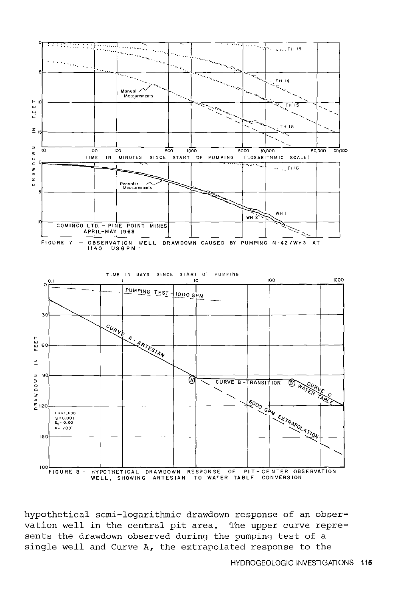

hypothetical semi-logarithmic drawdown response of an observation well in the central pit area. The upper curve represents the drawdown observed during the pumping test of a single well and Curve A, the extrapolated response to the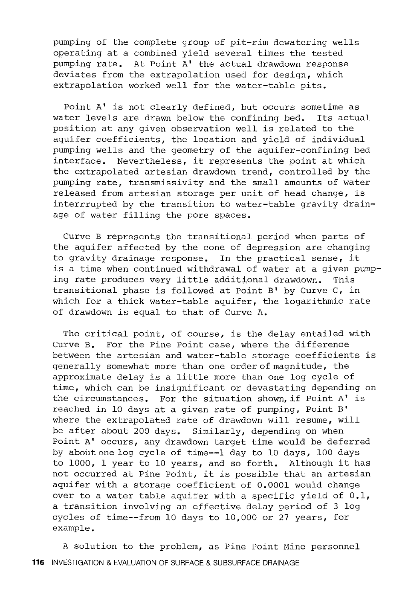pumping of the complete group of pit-rim dewatering wells operating at a combined yield several times the tested pumping rate. At Point A' the actual drawdown response deviates from the extrapolation used for design, which extrapolation worked well for the water-table pits.

Point A' is not clearly defined, but occurs sometime as water levels are drawn below the confining bed. Its actual position at any given observation well is related to the aquifer coefficients, the location and yield of individual pumping wells and the geometry of the aquifer-confining bed interface. Nevertheless, it represents the point at which the extrapolated artesian drawdown trend, controlled by the pumping rate, transmissivity and the small amounts of water released from artesian storage per unit of head change, is interrrupted by the transition to water-table gravity drainage of water filling the pore spaces.

Curve B represents the transitional period when parts of the aquifer affected by the cone of depression are changing to gravity drainage response. In the practical sense, it is a time when continued withdrawal of water at a given pumping rate produces very little additional drawdown. This transitional phase is followed at Point B' by Curve c, in which for a thick water-table aquifer, the logarithmic rate of drawdown is equal to that of Curve A.

The critical point, of course, is the delay entailed with Curve B. For the Pine Point case, where the difference between the artesian and water-table storage coefficients is generally somewhat more than one order of magnitude, the approximate delay is a little more than one log cycle of time, which can be insignificant or devastating depending on the circumstances. For the situation shown, if Point A' is reached in 10 days at a given rate of pumping, Point B' where the extrapolated rate of drawdown will resume, will be after about 200 days. Similarly, depending on when Point A' occurs, any drawdown target time would be deferred by about one log cycle of time--1 day to 10 days, 100 days to 1000, 1 year to 10 years, and so forth. Although it has not occurred at Pine Point, it is possible that an artesian aquifer with a storage coefficient of 0.0001 would change over to a water table aquifer with a specific yield of 0.1, a transition involving an effective delay period of 3 log cycles of time--from 10 days to 10,000 or 27 years, for example.

A solution to the problem, as Pine Point Mine personnel **116** INVESTIGATION & EVALUATION OF SURFACE & SUBSURFACE DRAINAGE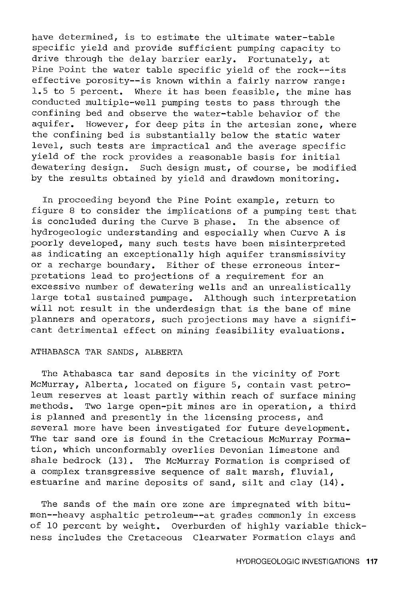have determined, is to estimate the ultimate water-table specific yield and provide sufficient pumping capacity to drive through the delay barrier early. Fortunately, at Pine Point the water table specific yield of the rock--its effective porosity--is known within a fairly narrow range: 1.5 to 5 percent. Where it has been feasible, the mine has conducted multiple-well pumping tests to pass through the confining bed and observe the water-table behavior of the aquifer. However, for deep pits in the artesian zone, where the confining bed is substantially below the static water level, such tests are impractical and the average specific yield of the rock provides a reasonable basis for initial dewatering design. Such design must, of course, be modified by the results obtained by yield and drawdown monitoring.

In proceeding beyond the Pine Point example, return to figure 8 to consider the implications of a pumping test that is concluded during the Curve B phase. In the absence of hydrogeologic understanding and especially when Curve A is poorly developed, many such tests have been misinterpreted as indicating an exceptionally high aquifer transmissivity or a recharge boundary. Either of these erroneous interpretations lead to projections of a requirement for an excessive number of dewatering wells and an unrealistically large total sustained pumpage. Although such interpretation will not result in the underdesign that is the bane of mine planners and operators, such projections may have a significant detrimental effect on mining feasibility evaluations.

#### ATHABASCA TAR SANDS, ALBERTA

The Athabasca tar sand deposits in the vicinity *ot* Fort McMurray, Alberta, located on figure 5, contain vast petroleum reserves at least partly within reach of surface mining methods. Two large open-pit mines are in operation, a third is planned and presently in the licensing process, and several more have been investigated for future development. The tar sand ore is found in the Cretacious McMurray Formation, which unconformably overlies Devonian limestone and shale bedrock (13). The McMurray Formation is comprised of a complex transgressive sequence of salt marsh, fluvial, estuarine and marine deposits of sand, silt and clay (14).

The sands of the main ore zone are impregnated with bitumen--heavy asphaltic petroleum--at grades commonly in excess of 10 percent by weight. Overburden of highly variable thickness includes the Cretaceous Clearwater Formation clays and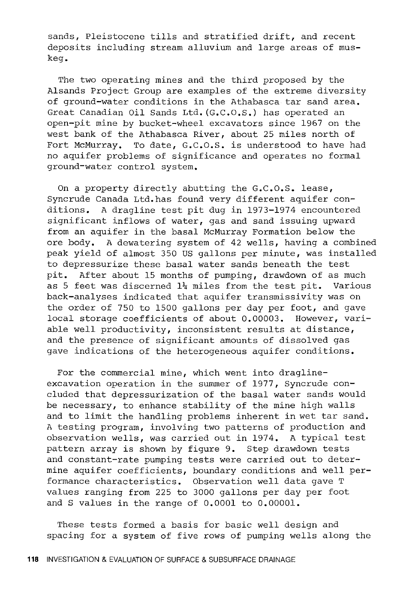sands, Pleistocene tills and stratified drift, and recent deposits including stream alluvium and large areas of muskeg.

The two operating mines and the third proposed by the Alsands Project Group are examples of the extreme diversity of ground-water conditions in the Athabasca tar sand area. Great Canadian Oil Sands Ltd. (G.c.o.s.) has operated an open-pit mine by bucket-wheel excavators since 1967 on the west bank of the Athabasca River, about 25 miles north of Fort McMurray. To date, G.C.O.S. is understood to have had no aquifer problems of significance and operates no formal ground-water control system.

On a property directly abutting the G.C.O.S. lease, Syncrude Canada Ltd.has found very different aquifer conditions. A dragline test pit dug in 1973-1974 encountered significant inflows of water, gas and sand issuing upward from an aquifer in the basal McMurray Formation below the ore body. A dewatering system of 42 wells, having a combined peak yield of almost 350 US gallons per minute, was installed to depressurize these basal water sands beneath the test pit. After about 15 months of pumping, drawdown of as much as 5 feet was discerned  $1\frac{1}{4}$  miles from the test pit. Various back-analyses indicated that aquifer transmissivity was on the order of 750 to 1500 gallons per day per foot, and gave local storage coefficients of about 0.00003. However, variable well productivity, inconsistent results at distance, and the presence of significant amounts of dissolved gas gave indications of the heterogeneous aquifer conditions.

For the commercial mine, which went into draglineexcavation operation in the summer of 1977, Syncrude concluded that depressurization of the basal water sands would be necessary, to enhance stability of the mine high walls and to limit the handling problems inherent in wet tar sand. A testing program, involving two patterns of production and observation wells, was carried out in 1974. A typical test pattern array is shown by figure 9. Step drawdown tests and constant-rate pumping tests were carried out to determine aquifer coefficients, boundary conditions and well performance characteristics. Observation well data gave T values ranging from 225 to 3000 gallons per day per foot and S values in the range of 0.0001 to 0.00001.

These tests formed a basis for basic well design and spacing for a system of five rows of pumping wells along the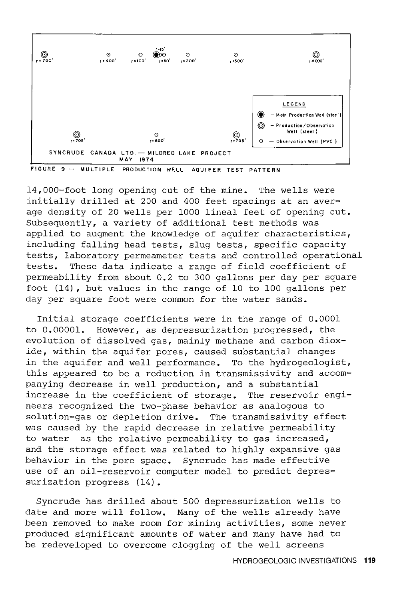

FIGURE 9 - MULTIPLE PRODUCTION WELL AQUIFER TEST PATTERN

14,000-foot long opening cut of the mine. The wells were initially drilled at 200 and 400 feet spacings at an average density of 20 wells per 1000 lineal feet of opening cut. Subsequently, a variety of additional test methods was applied to augment the knowledge of aquifer characteristics, including falling head tests, slug tests, specific capacity tests, laboratory permeameter tests and controlled operational tests. These data indicate a range of field coefficient of permeability from about 0.2 to 300 gallons per day per square foot (14) , but values in the range of 10 to 100 gallons per day per square foot were common for the water sands.

Initial storage coefficients were in the range of 0.0001 to 0.00001. However, as depressurization progressed, the evolution of dissolved gas, mainly methane and carbon dioxide, within the aquifer pores, caused substantial changes in the aquifer and well performance. To the hydrogeologist, this appeared to be a reduction in transmissivity and accompanying decrease in well production, and a substantial<br>increase in the coefficient of storage. The reservoir engiincrease in the coefficient of storage. neers recognized the two-phase behavior as analogous to solution-gas or depletion drive. The transmissivity effect was caused by the rapid decrease in relative permeability to water as the relative permeability to gas increased, and the storage effect was related to highly expansive gas behavior in the pore space. Syncrude has made effective use of an oil-reservoir computer model to predict depressurization progress (14).

Syncrude has drilled about 500 depressurization wells to date and more will follow. Many of the wells already have been removed to make room for mining activities, some never produced significant amounts of water and many have had to be redeveloped to overcome clogging of the well screens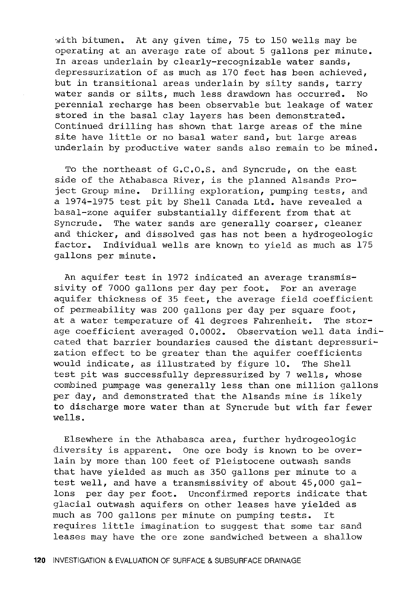with bitumen. At any given time, 75 to 150 wells may be operating at an average rate of about 5 gallons per minute. In areas underlain by clearly-recognizable water sands, depressurization of as much as 170 feet has been achieved, but in transitional areas underlain by silty sands, tarry water sands or silts, much less drawdown has occurred. No perennial recharge has been observable but leakage of water stored in the basal clay layers has been demonstrated. Continued drilling has shown that large areas of the mine site have little or no basal water sand, but large areas underlain by productive water sands also remain to be mined.

To the northeast of G.C.O.S. and Syncrude, on the east side of the Athabasca River, is the planned Alsands Project Group mine. Drilling exploration, pumping tests, and a 1974-1975 test pit by Shell Canada Ltd. have revealed a basal-zone aquifer substantially different from that at Syncrude. The water sands are generally coarser, cleaner and thicker, and dissolved gas has not been a hydrogeologic factor. Individual wells are known to yield as much as 175 gallons per minute.

An aquifer test in 1972 indicated an average transmissivity of 7000 gallons per day per foot. For an average aquifer thickness of 35 feet, the average field coefficient of permeability was 200 gallons per day per square foot, at a water temperature of 41 degrees Fahrenheit. The storage coefficient averaged 0.0002. Observation well data indicated that barrier boundaries caused the distant depressuriza tion effect to be greater than the aquifer coefficients would indicate, as illustrated by figure 10. The Shell test pit was successfully depressurized by 7 wells, whose combined pumpage was generally less than one million gallons per day, and demonstrated that the Alsands mine is likely to discharge more water than at Syncrude but with far fewer wells.

Elsewhere in the Athabasca area, further hydrogeologic diversity is apparent. One ore body is known to be overlain by more than 100 feet of Pleistocene outwash sands that have yielded as much as 350 gallons per minute to a test well, and have a transmissivity of about 45,000 gallons per day per foot. Unconfirmed reports indicate that glacial outwash aquifers on other leases have yielded as much as 700 gallons per minute on pumping tests. It requires little imagination to suggest that some tar sand leases may have the ore zone sandwiched between a shallow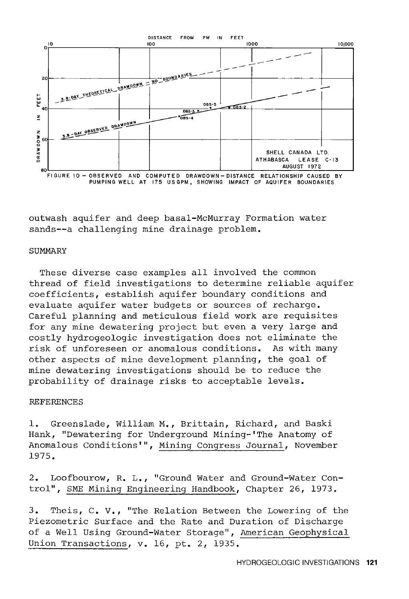

PUMPING WELL AT 175 US GPM, SHOWING IMPACT OF AQUIFER BOUNDARIES

outwash aquifer and deep basal-McMurray Formation water sands--a challenging mine drainage problem.

#### **SUMMARY**

These diverse case examples all involved the common thread of field investigations to determine reliable aquifer coefficients, establish aquifer boundary conditions and evaluate aquifer water budgets or sources of recharge. Careful planning and meticulous field work are requisites for any mine dewatering project but even a very large and costly hydrogeologic investigation does not eliminate the risk of unforeseen or anomalous conditions. As with many other aspects of mine development planning, the goal of mine dewatering investigations should be to reduce the probability of drainage risks to acceptable levels.

### REFERENCES

1. Greenslade, William M., Brittain, Richard, and Baski Hank, "Dewatering for Underground Mining-'The Anatomy of Anomalous Conditions'", Mining Congress Journal, November 1975.

2. Loofbourow, R. L., "Ground Water and Ground-Water Control", SME Mining Engineering Handbook, Chapter 26, 1973.

3. Theis, c. v., "The Relation Between the Lowering of the Piezometric Surface and the Rate and Duration of Discharge of a Well Using Ground-Water Storage", American Geophysical Union Transactions, v. 16, pt. 2, 1935.